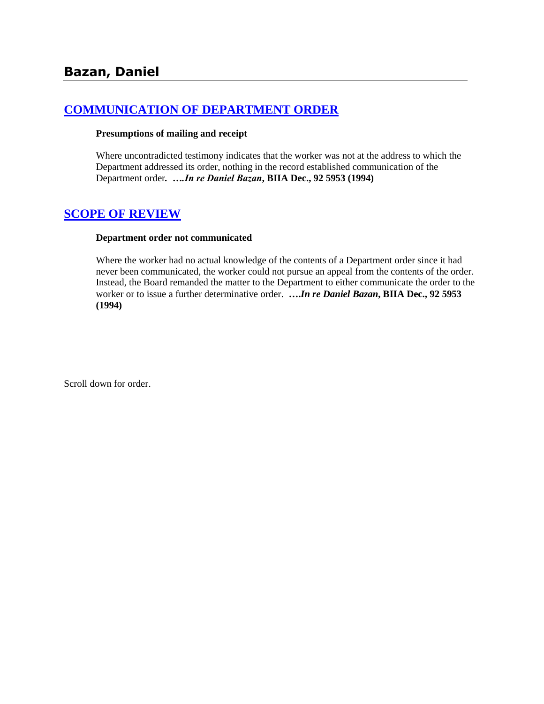# **[COMMUNICATION OF DEPARTMENT ORDER](http://www.biia.wa.gov/SDSubjectIndex.html#COMMUNICATION_OF_DEPARTMENT_ORDER)**

#### **Presumptions of mailing and receipt**

Where uncontradicted testimony indicates that the worker was not at the address to which the Department addressed its order, nothing in the record established communication of the Department order*. ….In re Daniel Bazan***, BIIA Dec., 92 5953 (1994)**

## **[SCOPE OF REVIEW](http://www.biia.wa.gov/SDSubjectIndex.html#SCOPE_OF_REVIEW)**

#### **Department order not communicated**

Where the worker had no actual knowledge of the contents of a Department order since it had never been communicated, the worker could not pursue an appeal from the contents of the order. Instead, the Board remanded the matter to the Department to either communicate the order to the worker or to issue a further determinative order. **….***In re Daniel Bazan***, BIIA Dec., 92 5953 (1994)**

Scroll down for order.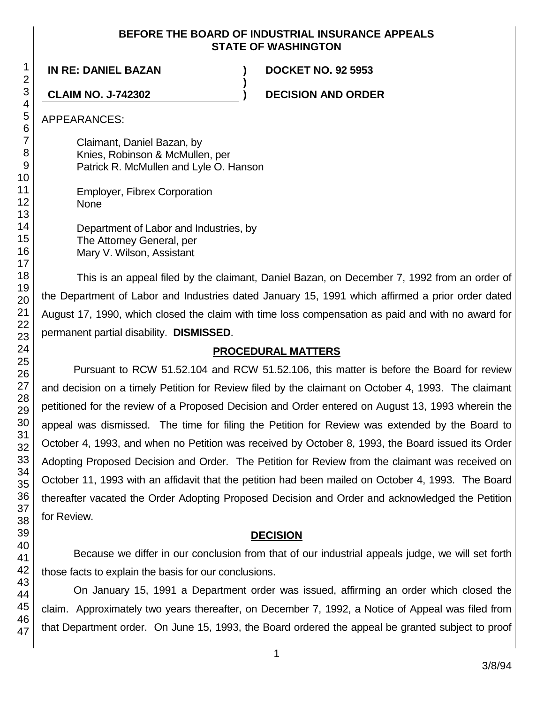#### **BEFORE THE BOARD OF INDUSTRIAL INSURANCE APPEALS STATE OF WASHINGTON**

**)**

**IN RE: DANIEL BAZAN ) DOCKET NO. 92 5953**

**CLAIM NO. J-742302 ) DECISION AND ORDER**

APPEARANCES:

Claimant, Daniel Bazan, by Knies, Robinson & McMullen, per Patrick R. McMullen and Lyle O. Hanson

Employer, Fibrex Corporation None

Department of Labor and Industries, by The Attorney General, per Mary V. Wilson, Assistant

This is an appeal filed by the claimant, Daniel Bazan, on December 7, 1992 from an order of the Department of Labor and Industries dated January 15, 1991 which affirmed a prior order dated August 17, 1990, which closed the claim with time loss compensation as paid and with no award for permanent partial disability. **DISMISSED**.

# **PROCEDURAL MATTERS**

Pursuant to RCW 51.52.104 and RCW 51.52.106, this matter is before the Board for review and decision on a timely Petition for Review filed by the claimant on October 4, 1993. The claimant petitioned for the review of a Proposed Decision and Order entered on August 13, 1993 wherein the appeal was dismissed. The time for filing the Petition for Review was extended by the Board to October 4, 1993, and when no Petition was received by October 8, 1993, the Board issued its Order Adopting Proposed Decision and Order. The Petition for Review from the claimant was received on October 11, 1993 with an affidavit that the petition had been mailed on October 4, 1993. The Board thereafter vacated the Order Adopting Proposed Decision and Order and acknowledged the Petition for Review.

## **DECISION**

Because we differ in our conclusion from that of our industrial appeals judge, we will set forth those facts to explain the basis for our conclusions.

On January 15, 1991 a Department order was issued, affirming an order which closed the claim. Approximately two years thereafter, on December 7, 1992, a Notice of Appeal was filed from that Department order. On June 15, 1993, the Board ordered the appeal be granted subject to proof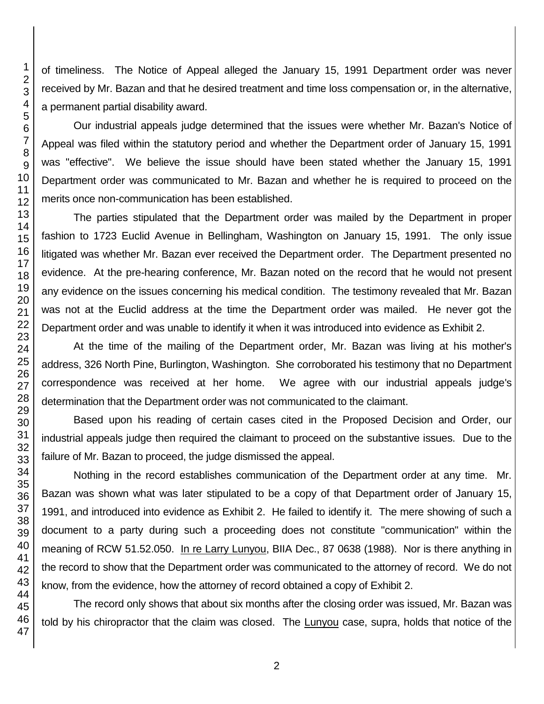of timeliness. The Notice of Appeal alleged the January 15, 1991 Department order was never received by Mr. Bazan and that he desired treatment and time loss compensation or, in the alternative, a permanent partial disability award.

Our industrial appeals judge determined that the issues were whether Mr. Bazan's Notice of Appeal was filed within the statutory period and whether the Department order of January 15, 1991 was "effective". We believe the issue should have been stated whether the January 15, 1991 Department order was communicated to Mr. Bazan and whether he is required to proceed on the merits once non-communication has been established.

The parties stipulated that the Department order was mailed by the Department in proper fashion to 1723 Euclid Avenue in Bellingham, Washington on January 15, 1991. The only issue litigated was whether Mr. Bazan ever received the Department order. The Department presented no evidence. At the pre-hearing conference, Mr. Bazan noted on the record that he would not present any evidence on the issues concerning his medical condition. The testimony revealed that Mr. Bazan was not at the Euclid address at the time the Department order was mailed. He never got the Department order and was unable to identify it when it was introduced into evidence as Exhibit 2.

At the time of the mailing of the Department order, Mr. Bazan was living at his mother's address, 326 North Pine, Burlington, Washington. She corroborated his testimony that no Department correspondence was received at her home. We agree with our industrial appeals judge's determination that the Department order was not communicated to the claimant.

Based upon his reading of certain cases cited in the Proposed Decision and Order, our industrial appeals judge then required the claimant to proceed on the substantive issues. Due to the failure of Mr. Bazan to proceed, the judge dismissed the appeal.

Nothing in the record establishes communication of the Department order at any time. Mr. Bazan was shown what was later stipulated to be a copy of that Department order of January 15, 1991, and introduced into evidence as Exhibit 2. He failed to identify it. The mere showing of such a document to a party during such a proceeding does not constitute "communication" within the meaning of RCW 51.52.050. In re Larry Lunyou, BIIA Dec., 87 0638 (1988). Nor is there anything in the record to show that the Department order was communicated to the attorney of record. We do not know, from the evidence, how the attorney of record obtained a copy of Exhibit 2.

The record only shows that about six months after the closing order was issued, Mr. Bazan was told by his chiropractor that the claim was closed. The Lunyou case, supra, holds that notice of the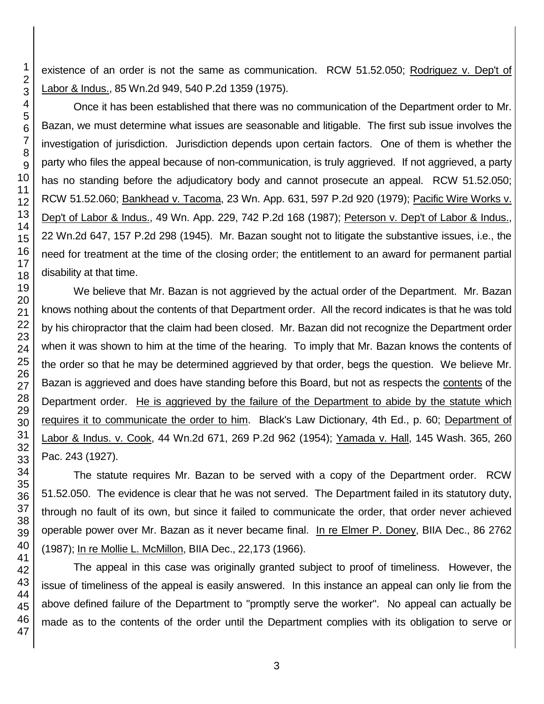existence of an order is not the same as communication. RCW 51.52.050; Rodriguez v. Dep't of Labor & Indus., 85 Wn.2d 949, 540 P.2d 1359 (1975).

Once it has been established that there was no communication of the Department order to Mr. Bazan, we must determine what issues are seasonable and litigable. The first sub issue involves the investigation of jurisdiction. Jurisdiction depends upon certain factors. One of them is whether the party who files the appeal because of non-communication, is truly aggrieved. If not aggrieved, a party has no standing before the adjudicatory body and cannot prosecute an appeal. RCW 51.52.050; RCW 51.52.060; Bankhead v. Tacoma, 23 Wn. App. 631, 597 P.2d 920 (1979); Pacific Wire Works v. Dep't of Labor & Indus., 49 Wn. App. 229, 742 P.2d 168 (1987); Peterson v. Dep't of Labor & Indus., 22 Wn.2d 647, 157 P.2d 298 (1945). Mr. Bazan sought not to litigate the substantive issues, i.e., the need for treatment at the time of the closing order; the entitlement to an award for permanent partial disability at that time.

We believe that Mr. Bazan is not aggrieved by the actual order of the Department. Mr. Bazan knows nothing about the contents of that Department order. All the record indicates is that he was told by his chiropractor that the claim had been closed. Mr. Bazan did not recognize the Department order when it was shown to him at the time of the hearing. To imply that Mr. Bazan knows the contents of the order so that he may be determined aggrieved by that order, begs the question. We believe Mr. Bazan is aggrieved and does have standing before this Board, but not as respects the contents of the Department order. He is aggrieved by the failure of the Department to abide by the statute which requires it to communicate the order to him. Black's Law Dictionary, 4th Ed., p. 60; Department of Labor & Indus. v. Cook, 44 Wn.2d 671, 269 P.2d 962 (1954); Yamada v. Hall, 145 Wash. 365, 260 Pac. 243 (1927).

The statute requires Mr. Bazan to be served with a copy of the Department order. RCW 51.52.050. The evidence is clear that he was not served. The Department failed in its statutory duty, through no fault of its own, but since it failed to communicate the order, that order never achieved operable power over Mr. Bazan as it never became final. In re Elmer P. Doney, BIIA Dec., 86 2762 (1987); In re Mollie L. McMillon, BIIA Dec., 22,173 (1966).

The appeal in this case was originally granted subject to proof of timeliness. However, the issue of timeliness of the appeal is easily answered. In this instance an appeal can only lie from the above defined failure of the Department to "promptly serve the worker". No appeal can actually be made as to the contents of the order until the Department complies with its obligation to serve or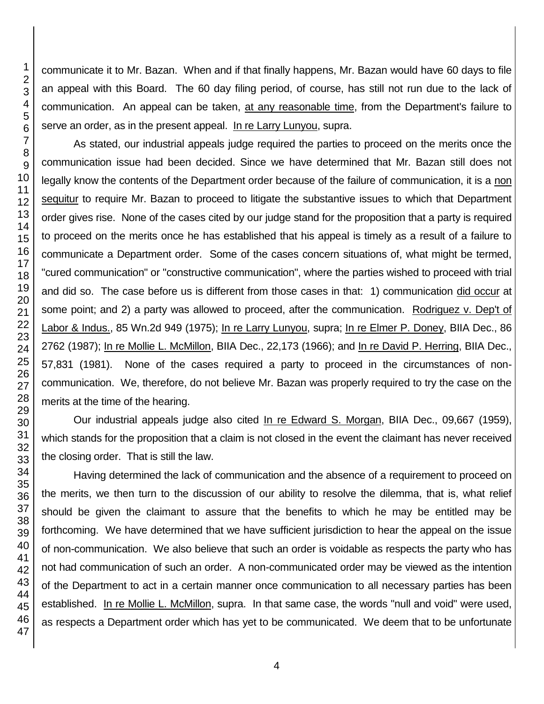communicate it to Mr. Bazan. When and if that finally happens, Mr. Bazan would have 60 days to file an appeal with this Board. The 60 day filing period, of course, has still not run due to the lack of communication. An appeal can be taken, at any reasonable time, from the Department's failure to serve an order, as in the present appeal. In re Larry Lunyou, supra.

As stated, our industrial appeals judge required the parties to proceed on the merits once the communication issue had been decided. Since we have determined that Mr. Bazan still does not legally know the contents of the Department order because of the failure of communication, it is a non sequitur to require Mr. Bazan to proceed to litigate the substantive issues to which that Department order gives rise. None of the cases cited by our judge stand for the proposition that a party is required to proceed on the merits once he has established that his appeal is timely as a result of a failure to communicate a Department order. Some of the cases concern situations of, what might be termed, "cured communication" or "constructive communication", where the parties wished to proceed with trial and did so. The case before us is different from those cases in that: 1) communication did occur at some point; and 2) a party was allowed to proceed, after the communication. Rodriguez v. Dep't of Labor & Indus., 85 Wn.2d 949 (1975); In re Larry Lunyou, supra; In re Elmer P. Doney, BIIA Dec., 86 2762 (1987); In re Mollie L. McMillon, BIIA Dec., 22,173 (1966); and In re David P. Herring, BIIA Dec., 57,831 (1981). None of the cases required a party to proceed in the circumstances of noncommunication. We, therefore, do not believe Mr. Bazan was properly required to try the case on the merits at the time of the hearing.

Our industrial appeals judge also cited In re Edward S. Morgan, BIIA Dec., 09,667 (1959), which stands for the proposition that a claim is not closed in the event the claimant has never received the closing order. That is still the law.

Having determined the lack of communication and the absence of a requirement to proceed on the merits, we then turn to the discussion of our ability to resolve the dilemma, that is, what relief should be given the claimant to assure that the benefits to which he may be entitled may be forthcoming. We have determined that we have sufficient jurisdiction to hear the appeal on the issue of non-communication. We also believe that such an order is voidable as respects the party who has not had communication of such an order. A non-communicated order may be viewed as the intention of the Department to act in a certain manner once communication to all necessary parties has been established. In re Mollie L. McMillon, supra. In that same case, the words "null and void" were used, as respects a Department order which has yet to be communicated. We deem that to be unfortunate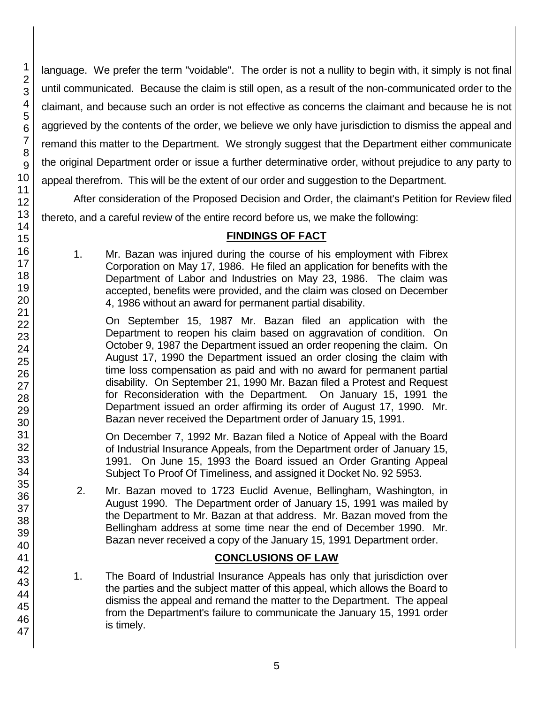language. We prefer the term "voidable". The order is not a nullity to begin with, it simply is not final until communicated. Because the claim is still open, as a result of the non-communicated order to the claimant, and because such an order is not effective as concerns the claimant and because he is not aggrieved by the contents of the order, we believe we only have jurisdiction to dismiss the appeal and remand this matter to the Department. We strongly suggest that the Department either communicate the original Department order or issue a further determinative order, without prejudice to any party to appeal therefrom. This will be the extent of our order and suggestion to the Department.

After consideration of the Proposed Decision and Order, the claimant's Petition for Review filed thereto, and a careful review of the entire record before us, we make the following:

# **FINDINGS OF FACT**

1. Mr. Bazan was injured during the course of his employment with Fibrex Corporation on May 17, 1986. He filed an application for benefits with the Department of Labor and Industries on May 23, 1986. The claim was accepted, benefits were provided, and the claim was closed on December 4, 1986 without an award for permanent partial disability.

On September 15, 1987 Mr. Bazan filed an application with the Department to reopen his claim based on aggravation of condition. On October 9, 1987 the Department issued an order reopening the claim. On August 17, 1990 the Department issued an order closing the claim with time loss compensation as paid and with no award for permanent partial disability. On September 21, 1990 Mr. Bazan filed a Protest and Request for Reconsideration with the Department. On January 15, 1991 the Department issued an order affirming its order of August 17, 1990. Mr. Bazan never received the Department order of January 15, 1991.

On December 7, 1992 Mr. Bazan filed a Notice of Appeal with the Board of Industrial Insurance Appeals, from the Department order of January 15, 1991. On June 15, 1993 the Board issued an Order Granting Appeal Subject To Proof Of Timeliness, and assigned it Docket No. 92 5953.

2. Mr. Bazan moved to 1723 Euclid Avenue, Bellingham, Washington, in August 1990. The Department order of January 15, 1991 was mailed by the Department to Mr. Bazan at that address. Mr. Bazan moved from the Bellingham address at some time near the end of December 1990. Mr. Bazan never received a copy of the January 15, 1991 Department order.

## **CONCLUSIONS OF LAW**

1. The Board of Industrial Insurance Appeals has only that jurisdiction over the parties and the subject matter of this appeal, which allows the Board to dismiss the appeal and remand the matter to the Department. The appeal from the Department's failure to communicate the January 15, 1991 order is timely.

1